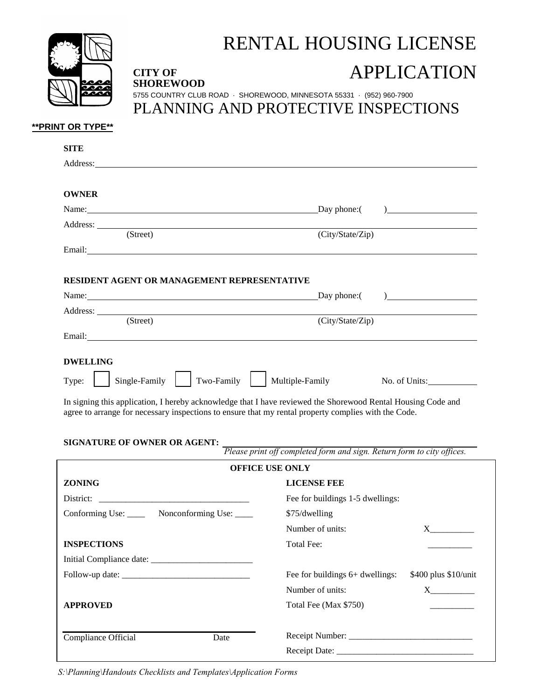

**SHOREWOOD** 

## RENTAL HOUSING LICENSE

## **CITY OF APPLICATION**

5755 COUNTRY CLUB ROAD · SHOREWOOD, MINNESOTA 55331 · (952) 960-7900 PLANNING AND PROTECTIVE INSPECTIONS

## **\*\*PRINT OR TYPE\*\***

| <b>SITE</b>                                                                                                                                                                                                                    |                                                                                                                                                                                                                                      |
|--------------------------------------------------------------------------------------------------------------------------------------------------------------------------------------------------------------------------------|--------------------------------------------------------------------------------------------------------------------------------------------------------------------------------------------------------------------------------------|
|                                                                                                                                                                                                                                |                                                                                                                                                                                                                                      |
| <b>OWNER</b>                                                                                                                                                                                                                   |                                                                                                                                                                                                                                      |
| Name: Day phone: (                                                                                                                                                                                                             | $\begin{array}{c} \hline \end{array}$                                                                                                                                                                                                |
|                                                                                                                                                                                                                                |                                                                                                                                                                                                                                      |
| (Street)                                                                                                                                                                                                                       | (City/State/Zip)                                                                                                                                                                                                                     |
|                                                                                                                                                                                                                                |                                                                                                                                                                                                                                      |
| RESIDENT AGENT OR MANAGEMENT REPRESENTATIVE                                                                                                                                                                                    |                                                                                                                                                                                                                                      |
| Name: Name and the set of the set of the set of the set of the set of the set of the set of the set of the set of the set of the set of the set of the set of the set of the set of the set of the set of the set of the set o | Day phone: $\qquad \qquad$ $)$                                                                                                                                                                                                       |
|                                                                                                                                                                                                                                |                                                                                                                                                                                                                                      |
| (Street)                                                                                                                                                                                                                       | (City/State/Zip)                                                                                                                                                                                                                     |
|                                                                                                                                                                                                                                | Email: <u>Alexander Alexander Alexander Alexander Alexander Alexander Alexander Alexander Alexander Alexander Alexander Alexander Alexander Alexander Alexander Alexander Alexander Alexander Alexander Alexander Alexander Alex</u> |
| SIGNATURE OF OWNER OR AGENT:                                                                                                                                                                                                   | Please print off completed form and sign. Return form to city offices.                                                                                                                                                               |
|                                                                                                                                                                                                                                | <b>OFFICE USE ONLY</b>                                                                                                                                                                                                               |
| <b>ZONING</b>                                                                                                                                                                                                                  | <b>LICENSE FEE</b>                                                                                                                                                                                                                   |
|                                                                                                                                                                                                                                | Fee for buildings 1-5 dwellings:                                                                                                                                                                                                     |
| Conforming Use: Nonconforming Use:                                                                                                                                                                                             | \$75/dwelling                                                                                                                                                                                                                        |
|                                                                                                                                                                                                                                | Number of units:<br>$X \sim$                                                                                                                                                                                                         |
| <b>INSPECTIONS</b>                                                                                                                                                                                                             |                                                                                                                                                                                                                                      |
|                                                                                                                                                                                                                                | Total Fee:                                                                                                                                                                                                                           |
|                                                                                                                                                                                                                                |                                                                                                                                                                                                                                      |
|                                                                                                                                                                                                                                | Fee for buildings 6+ dwellings:                                                                                                                                                                                                      |
|                                                                                                                                                                                                                                | \$400 plus \$10/unit<br>Number of units:                                                                                                                                                                                             |
|                                                                                                                                                                                                                                | Total Fee (Max \$750)                                                                                                                                                                                                                |
| <b>APPROVED</b><br>Compliance Official<br>Date                                                                                                                                                                                 |                                                                                                                                                                                                                                      |

*S:\Planning\Handouts Checklists and Templates\Application Forms*